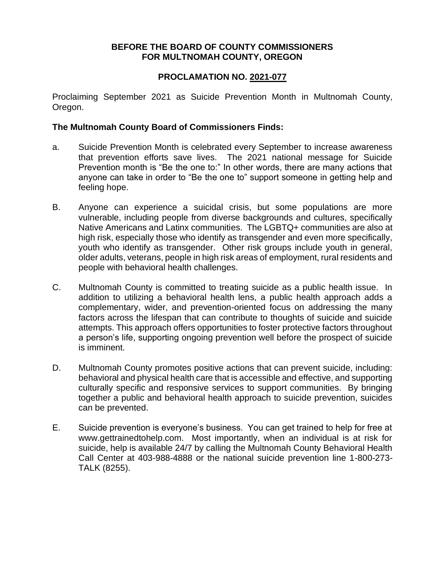## **BEFORE THE BOARD OF COUNTY COMMISSIONERS FOR MULTNOMAH COUNTY, OREGON**

## **PROCLAMATION NO. 2021-077**

Proclaiming September 2021 as Suicide Prevention Month in Multnomah County, Oregon.

## **The Multnomah County Board of Commissioners Finds:**

- a. Suicide Prevention Month is celebrated every September to increase awareness that prevention efforts save lives. The 2021 national message for Suicide Prevention month is "Be the one to:" In other words, there are many actions that anyone can take in order to "Be the one to" support someone in getting help and feeling hope.
- B. Anyone can experience a suicidal crisis, but some populations are more vulnerable, including people from diverse backgrounds and cultures, specifically Native Americans and Latinx communities. The LGBTQ+ communities are also at high risk, especially those who identify as transgender and even more specifically, youth who identify as transgender. Other risk groups include youth in general, older adults, veterans, people in high risk areas of employment, rural residents and people with behavioral health challenges.
- C. Multnomah County is committed to treating suicide as a public health issue. In addition to utilizing a behavioral health lens, a public health approach adds a complementary, wider, and prevention-oriented focus on addressing the many factors across the lifespan that can contribute to thoughts of suicide and suicide attempts. This approach offers opportunities to foster protective factors throughout a person's life, supporting ongoing prevention well before the prospect of suicide is imminent.
- D. Multnomah County promotes positive actions that can prevent suicide, including: behavioral and physical health care that is accessible and effective, and supporting culturally specific and responsive services to support communities. By bringing together a public and behavioral health approach to suicide prevention, suicides can be prevented.
- E. Suicide prevention is everyone's business. You can get trained to help for free at www.gettrainedtohelp.com. Most importantly, when an individual is at risk for suicide, help is available 24/7 by calling the Multnomah County Behavioral Health Call Center at 403-988-4888 or the national suicide prevention line 1-800-273- TALK (8255).